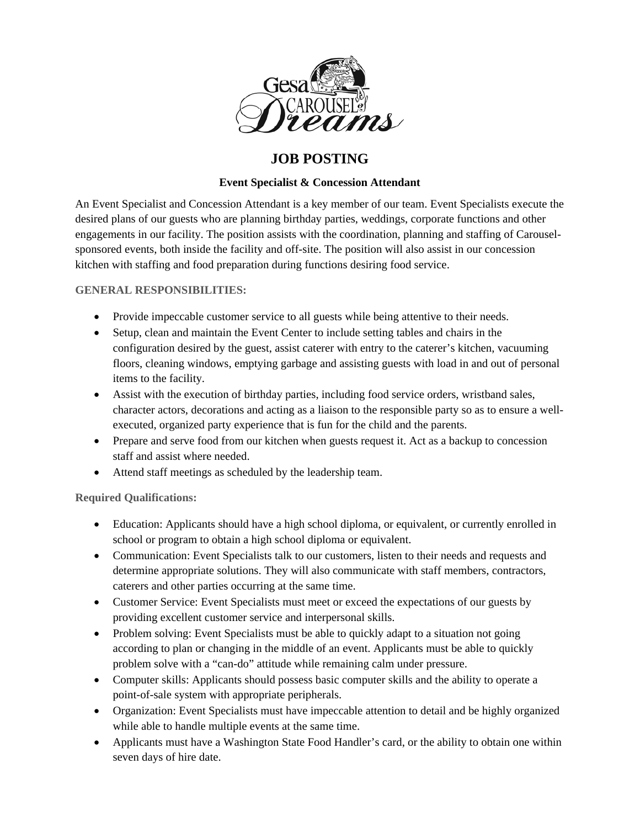

# **JOB POSTING**

## **Event Specialist & Concession Attendant**

An Event Specialist and Concession Attendant is a key member of our team. Event Specialists execute the desired plans of our guests who are planning birthday parties, weddings, corporate functions and other engagements in our facility. The position assists with the coordination, planning and staffing of Carouselsponsored events, both inside the facility and off-site. The position will also assist in our concession kitchen with staffing and food preparation during functions desiring food service.

### **GENERAL RESPONSIBILITIES:**

- Provide impeccable customer service to all guests while being attentive to their needs.
- Setup, clean and maintain the Event Center to include setting tables and chairs in the configuration desired by the guest, assist caterer with entry to the caterer's kitchen, vacuuming floors, cleaning windows, emptying garbage and assisting guests with load in and out of personal items to the facility.
- Assist with the execution of birthday parties, including food service orders, wristband sales, character actors, decorations and acting as a liaison to the responsible party so as to ensure a wellexecuted, organized party experience that is fun for the child and the parents.
- Prepare and serve food from our kitchen when guests request it. Act as a backup to concession staff and assist where needed.
- Attend staff meetings as scheduled by the leadership team.

### **Required Qualifications:**

- Education: Applicants should have a high school diploma, or equivalent, or currently enrolled in school or program to obtain a high school diploma or equivalent.
- Communication: Event Specialists talk to our customers, listen to their needs and requests and determine appropriate solutions. They will also communicate with staff members, contractors, caterers and other parties occurring at the same time.
- Customer Service: Event Specialists must meet or exceed the expectations of our guests by providing excellent customer service and interpersonal skills.
- Problem solving: Event Specialists must be able to quickly adapt to a situation not going according to plan or changing in the middle of an event. Applicants must be able to quickly problem solve with a "can-do" attitude while remaining calm under pressure.
- Computer skills: Applicants should possess basic computer skills and the ability to operate a point-of-sale system with appropriate peripherals.
- Organization: Event Specialists must have impeccable attention to detail and be highly organized while able to handle multiple events at the same time.
- Applicants must have a Washington State Food Handler's card, or the ability to obtain one within seven days of hire date.